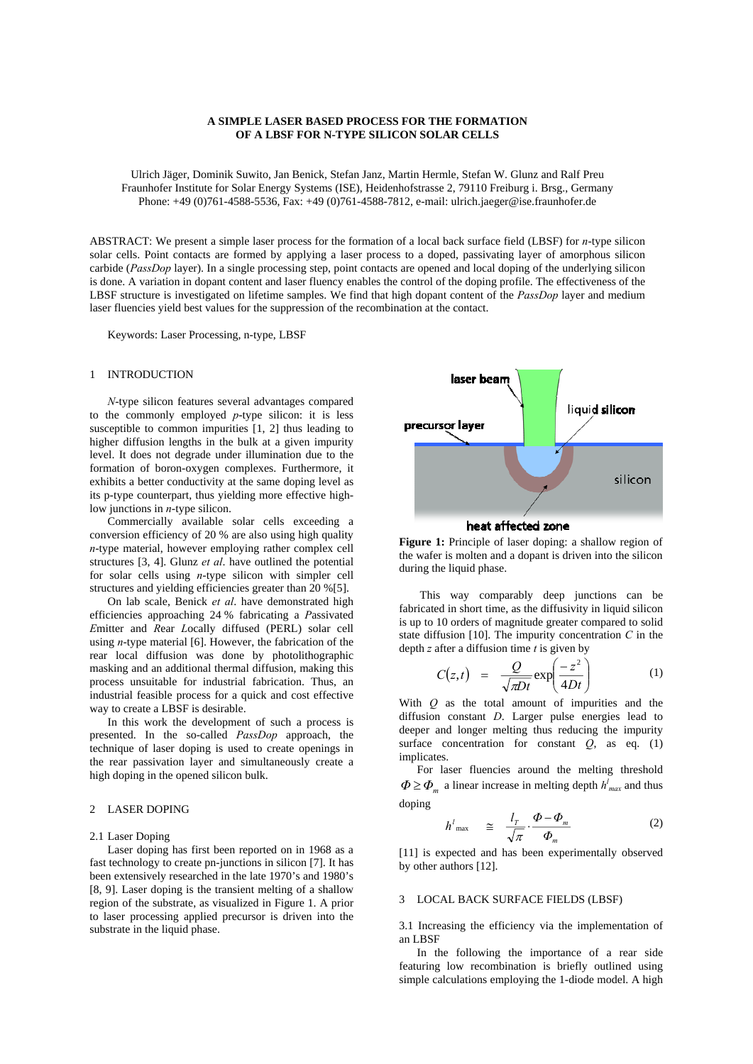# **A SIMPLE LASER BASED PROCESS FOR THE FORMATION OF A LBSF FOR N-TYPE SILICON SOLAR CELLS**

Ulrich Jäger, Dominik Suwito, Jan Benick, Stefan Janz, Martin Hermle, Stefan W. Glunz and Ralf Preu Fraunhofer Institute for Solar Energy Systems (ISE), Heidenhofstrasse 2, 79110 Freiburg i. Brsg., Germany Phone: +49 (0)761-4588-5536, Fax: +49 (0)761-4588-7812, e-mail: ulrich.jaeger@ise.fraunhofer.de

ABSTRACT: We present a simple laser process for the formation of a local back surface field (LBSF) for *n*-type silicon solar cells. Point contacts are formed by applying a laser process to a doped, passivating layer of amorphous silicon carbide (*PassDop* layer). In a single processing step, point contacts are opened and local doping of the underlying silicon is done. A variation in dopant content and laser fluency enables the control of the doping profile. The effectiveness of the LBSF structure is investigated on lifetime samples. We find that high dopant content of the *PassDop* layer and medium laser fluencies yield best values for the suppression of the recombination at the contact.

Keywords: Laser Processing, n-type, LBSF

#### 1 INTRODUCTION

*N*-type silicon features several advantages compared to the commonly employed *p*-type silicon: it is less susceptible to common impurities [1, 2] thus leading to higher diffusion lengths in the bulk at a given impurity level. It does not degrade under illumination due to the formation of boron-oxygen complexes. Furthermore, it exhibits a better conductivity at the same doping level as its p-type counterpart, thus yielding more effective highlow junctions in *n*-type silicon.

Commercially available solar cells exceeding a conversion efficiency of 20 % are also using high quality *n*-type material, however employing rather complex cell structures [3, 4]. Glunz *et al*. have outlined the potential for solar cells using *n*-type silicon with simpler cell structures and yielding efficiencies greater than 20 %[5].

On lab scale, Benick *et al*. have demonstrated high efficiencies approaching 24 % fabricating a *P*assivated *E*mitter and *R*ear *L*ocally diffused (PERL) solar cell using *n*-type material [6]. However, the fabrication of the rear local diffusion was done by photolithographic masking and an additional thermal diffusion, making this process unsuitable for industrial fabrication. Thus, an industrial feasible process for a quick and cost effective way to create a LBSF is desirable.

In this work the development of such a process is presented. In the so-called *PassDop* approach, the technique of laser doping is used to create openings in the rear passivation layer and simultaneously create a high doping in the opened silicon bulk.

# 2 LASER DOPING

### 2.1 Laser Doping

Laser doping has first been reported on in 1968 as a fast technology to create pn-junctions in silicon [7]. It has been extensively researched in the late 1970's and 1980's [8, 9]. Laser doping is the transient melting of a shallow region of the substrate, as visualized in Figure 1. A prior to laser processing applied precursor is driven into the substrate in the liquid phase.



#### heat affected zone

**Figure 1:** Principle of laser doping: a shallow region of the wafer is molten and a dopant is driven into the silicon during the liquid phase.

 This way comparably deep junctions can be fabricated in short time, as the diffusivity in liquid silicon is up to 10 orders of magnitude greater compared to solid state diffusion [10]. The impurity concentration *C* in the depth *z* after a diffusion time *t* is given by

$$
C(z,t) = \frac{Q}{\sqrt{\pi Dt}} \exp\left(\frac{-z^2}{4Dt}\right) \tag{1}
$$

With *Q* as the total amount of impurities and the diffusion constant *D*. Larger pulse energies lead to deeper and longer melting thus reducing the impurity surface concentration for constant  $Q$ , as eq. (1) implicates.

 For laser fluencies around the melting threshold  $\Phi \geq \Phi_m$  a linear increase in melting depth  $h_{max}^l$  and thus doping

$$
h^{l}_{\max} \quad \cong \quad \frac{l_{T}}{\sqrt{\pi}} \cdot \frac{\Phi - \Phi_{m}}{\Phi_{m}} \tag{2}
$$

[11] is expected and has been experimentally observed by other authors [12].

#### 3 LOCAL BACK SURFACE FIELDS (LBSF)

3.1 Increasing the efficiency via the implementation of an LBSF

 In the following the importance of a rear side featuring low recombination is briefly outlined using simple calculations employing the 1-diode model. A high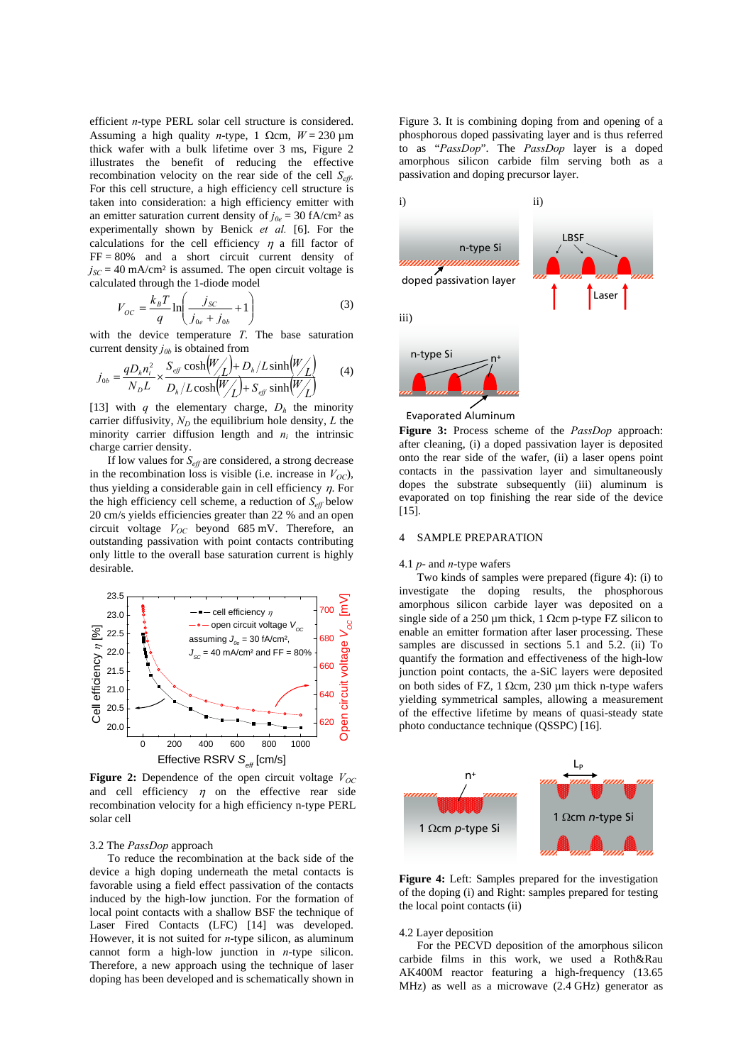efficient *n*-type PERL solar cell structure is considered. Assuming a high quality *n*-type, 1  $\Omega$ cm,  $W = 230 \text{ µm}$ thick wafer with a bulk lifetime over 3 ms, Figure 2 illustrates the benefit of reducing the effective recombination velocity on the rear side of the cell  $S_{\text{eff}}$ . For this cell structure, a high efficiency cell structure is taken into consideration: a high efficiency emitter with an emitter saturation current density of  $j_{0e} = 30$  fA/cm<sup>2</sup> as experimentally shown by Benick *et al.* [6]. For the calculations for the cell efficiency  $\eta$  a fill factor of  $FF = 80\%$  and a short circuit current density of  $j_{SC}$  = 40 mA/cm<sup>2</sup> is assumed. The open circuit voltage is calculated through the 1-diode model

$$
V_{OC} = \frac{k_B T}{q} \ln \left( \frac{j_{SC}}{j_{0e} + j_{0b}} + 1 \right)
$$
 (3)

with the device temperature *T*. The base saturation current density  $j_{0b}$  is obtained from

$$
j_{0b} = \frac{qD_h n_i^2}{N_D L} \times \frac{S_{\text{eff}} \cosh\left(\frac{W}{L}\right) + D_h / L \sinh\left(\frac{W}{L}\right)}{D_h / L \cosh\left(\frac{W}{L}\right) + S_{\text{eff}} \sinh\left(\frac{W}{L}\right)} \tag{4}
$$

[13] with *q* the elementary charge,  $D_h$  the minority carrier diffusivity,  $N_D$  the equilibrium hole density,  $L$  the minority carrier diffusion length and  $n_i$  the intrinsic charge carrier density.

 If low values for *Seff* are considered, a strong decrease in the recombination loss is visible (i.e. increase in  $V_{OC}$ ), thus yielding a considerable gain in cell efficiency  $\eta$ . For the high efficiency cell scheme, a reduction of  $S_{\text{eff}}$  below 20 cm/s yields efficiencies greater than 22 % and an open circuit voltage  $V_{OC}$  beyond 685 mV. Therefore, an outstanding passivation with point contacts contributing only little to the overall base saturation current is highly desirable.



**Figure 2:** Dependence of the open circuit voltage  $V_{OC}$ and cell efficiency  $\eta$  on the effective rear side recombination velocity for a high efficiency n-type PERL solar cell

#### 3.2 The *PassDop* approach

To reduce the recombination at the back side of the device a high doping underneath the metal contacts is favorable using a field effect passivation of the contacts induced by the high-low junction. For the formation of local point contacts with a shallow BSF the technique of Laser Fired Contacts (LFC) [14] was developed. However, it is not suited for *n*-type silicon, as aluminum cannot form a high-low junction in *n*-type silicon. Therefore, a new approach using the technique of laser doping has been developed and is schematically shown in

Figure 3. It is combining doping from and opening of a phosphorous doped passivating layer and is thus referred to as "*PassDop*". The *PassDop* layer is a doped amorphous silicon carbide film serving both as a passivation and doping precursor layer.



**Figure 3:** Process scheme of the *PassDop* approach: after cleaning, (i) a doped passivation layer is deposited onto the rear side of the wafer, (ii) a laser opens point contacts in the passivation layer and simultaneously dopes the substrate subsequently (iii) aluminum is evaporated on top finishing the rear side of the device [15].

## 4 SAMPLE PREPARATION

#### 4.1 *p*- and *n*-type wafers

 Two kinds of samples were prepared (figure 4): (i) to investigate the doping results, the phosphorous amorphous silicon carbide layer was deposited on a single side of a 250  $\mu$ m thick, 1  $\Omega$ cm p-type FZ silicon to enable an emitter formation after laser processing. These samples are discussed in sections 5.1 and 5.2. (ii) To quantify the formation and effectiveness of the high-low junction point contacts, the a-SiC layers were deposited on both sides of FZ, 1 Ωcm, 230  $μm$  thick n-type wafers yielding symmetrical samples, allowing a measurement of the effective lifetime by means of quasi-steady state photo conductance technique (QSSPC) [16].



**Figure 4:** Left: Samples prepared for the investigation of the doping (i) and Right: samples prepared for testing the local point contacts (ii)

### 4.2 Layer deposition

 For the PECVD deposition of the amorphous silicon carbide films in this work, we used a Roth&Rau AK400M reactor featuring a high-frequency (13.65 MHz) as well as a microwave (2.4 GHz) generator as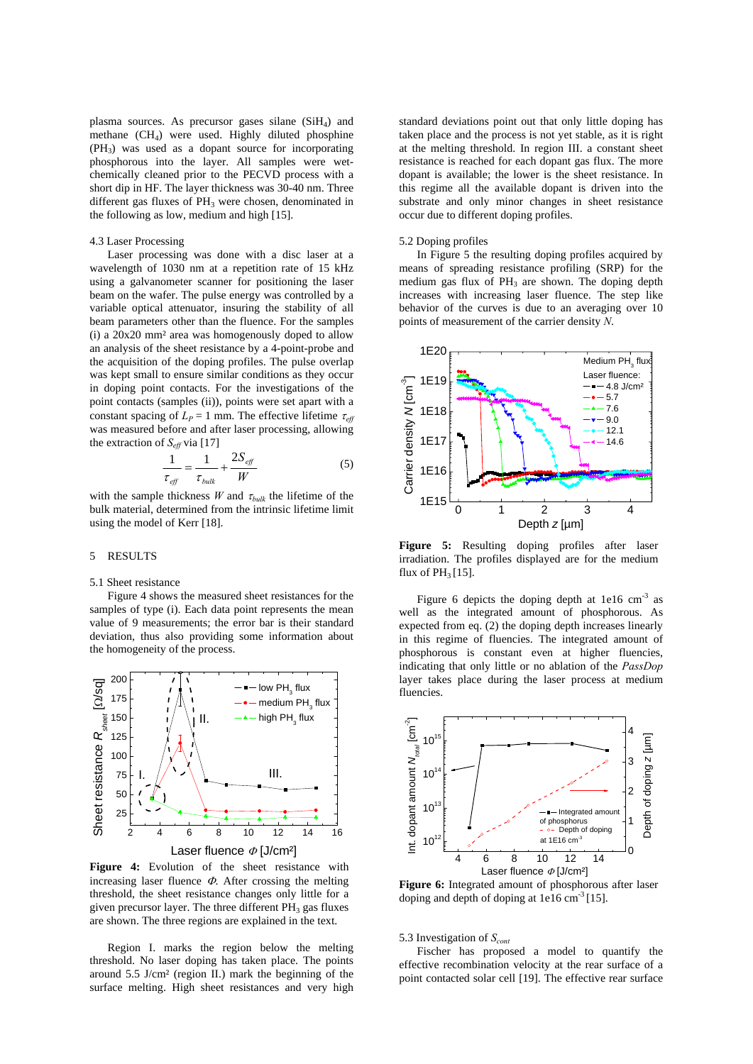plasma sources. As precursor gases silane  $(SiH<sub>4</sub>)$  and methane  $(CH<sub>4</sub>)$  were used. Highly diluted phosphine  $(PH_3)$  was used as a dopant source for incorporating phosphorous into the layer. All samples were wetchemically cleaned prior to the PECVD process with a short dip in HF. The layer thickness was 30-40 nm. Three different gas fluxes of  $PH_3$  were chosen, denominated in the following as low, medium and high [15].

## 4.3 Laser Processing

 Laser processing was done with a disc laser at a wavelength of 1030 nm at a repetition rate of 15 kHz using a galvanometer scanner for positioning the laser beam on the wafer. The pulse energy was controlled by a variable optical attenuator, insuring the stability of all beam parameters other than the fluence. For the samples (i) a 20x20 mm² area was homogenously doped to allow an analysis of the sheet resistance by a 4-point-probe and the acquisition of the doping profiles. The pulse overlap was kept small to ensure similar conditions as they occur in doping point contacts. For the investigations of the point contacts (samples (ii)), points were set apart with a constant spacing of  $L_P = 1$  mm. The effective lifetime  $\tau_{\text{eff}}$ was measured before and after laser processing, allowing the extraction of  $S_{\text{eff}}$  via [17]

$$
\frac{1}{\tau_{\text{eff}}} = \frac{1}{\tau_{\text{bulk}}} + \frac{2S_{\text{eff}}}{W} \tag{5}
$$

with the sample thickness *W* and  $\tau_{bulk}$  the lifetime of the bulk material, determined from the intrinsic lifetime limit using the model of Kerr [18].

#### 5 RESULTS

#### 5.1 Sheet resistance

 Figure 4 shows the measured sheet resistances for the samples of type (i). Each data point represents the mean value of 9 measurements; the error bar is their standard deviation, thus also providing some information about the homogeneity of the process.



**Figure 4:** Evolution of the sheet resistance with increasing laser fluence  $\Phi$ . After crossing the melting threshold, the sheet resistance changes only little for a given precursor layer. The three different  $PH_3$  gas fluxes are shown. The three regions are explained in the text.

 Region I. marks the region below the melting threshold. No laser doping has taken place. The points around 5.5 J/cm² (region II.) mark the beginning of the surface melting. High sheet resistances and very high standard deviations point out that only little doping has taken place and the process is not yet stable, as it is right at the melting threshold. In region III. a constant sheet resistance is reached for each dopant gas flux. The more dopant is available; the lower is the sheet resistance. In this regime all the available dopant is driven into the substrate and only minor changes in sheet resistance occur due to different doping profiles.

#### 5.2 Doping profiles

 In Figure 5 the resulting doping profiles acquired by means of spreading resistance profiling (SRP) for the medium gas flux of  $PH_3$  are shown. The doping depth increases with increasing laser fluence. The step like behavior of the curves is due to an averaging over 10 points of measurement of the carrier density *N*.



**Figure 5:** Resulting doping profiles after laser irradiation. The profiles displayed are for the medium flux of  $PH_3[15]$ .

Figure 6 depicts the doping depth at 1e16  $\text{cm}^{-3}$  as well as the integrated amount of phosphorous. As expected from eq. (2) the doping depth increases linearly in this regime of fluencies. The integrated amount of phosphorous is constant even at higher fluencies, indicating that only little or no ablation of the *PassDop* layer takes place during the laser process at medium fluencies.



**Figure 6:** Integrated amount of phosphorous after laser doping and depth of doping at  $1e16 \text{ cm}^{-3}$  [15].

5.3 Investigation of *Scont*

 Fischer has proposed a model to quantify the effective recombination velocity at the rear surface of a point contacted solar cell [19]. The effective rear surface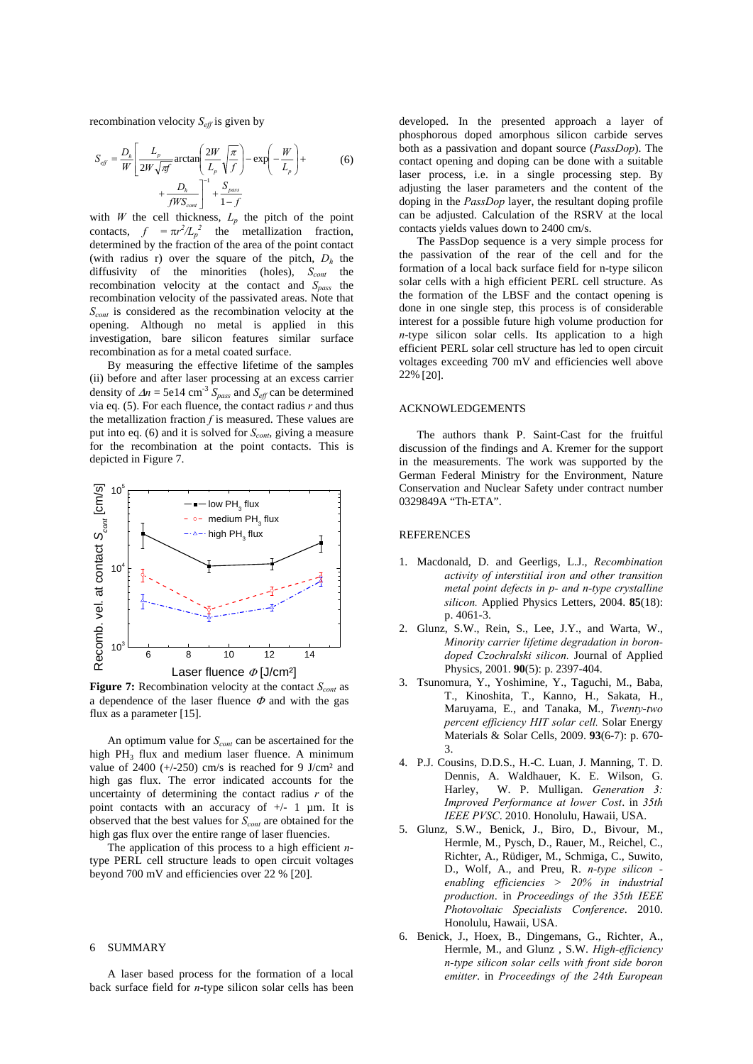recombination velocity  $S_{\text{eff}}$  is given by

$$
S_{\text{eff}} = \frac{D_h}{W} \left[ \frac{L_p}{2W\sqrt{\pi f}} \arctan\left(\frac{2W}{L_p} \sqrt{\frac{\pi}{f}}\right) - \exp\left(-\frac{W}{L_p}\right) + \frac{D_h}{fWS_{\text{cont}}} \right]^{-1} + \frac{S_{\text{pass}}}{1 - f}
$$
(6)

with *W* the cell thickness,  $L_p$  the pitch of the point contacts,  $f = \pi r^2 / L_p^2$  the metallization fraction, determined by the fraction of the area of the point contact (with radius r) over the square of the pitch,  $D_h$  the diffusivity of the minorities (holes),  $S_{cont}$  the recombination velocity at the contact and *Spass* the recombination velocity of the passivated areas. Note that *S<sub>cont</sub>* is considered as the recombination velocity at the opening. Although no metal is applied in this investigation, bare silicon features similar surface recombination as for a metal coated surface.

 By measuring the effective lifetime of the samples (ii) before and after laser processing at an excess carrier density of  $\Delta n = 5e14$  cm<sup>-3</sup>  $S_{pass}$  and  $S_{eff}$  can be determined via eq. (5). For each fluence, the contact radius *r* and thus the metallization fraction *f* is measured. These values are put into eq. (6) and it is solved for *S<sub>cont*</sub>, giving a measure for the recombination at the point contacts. This is depicted in Figure 7.



**Figure 7:** Recombination velocity at the contact  $S_{cont}$  as a dependence of the laser fluence  $\Phi$  and with the gas flux as a parameter [15].

An optimum value for  $S_{cont}$  can be ascertained for the high PH<sub>3</sub> flux and medium laser fluence. A minimum value of  $2400$  (+/-250) cm/s is reached for 9 J/cm<sup>2</sup> and high gas flux. The error indicated accounts for the uncertainty of determining the contact radius *r* of the point contacts with an accuracy of +/- 1 µm. It is observed that the best values for *Scont* are obtained for the high gas flux over the entire range of laser fluencies.

 The application of this process to a high efficient *n*type PERL cell structure leads to open circuit voltages beyond 700 mV and efficiencies over 22 % [20].

# 6 SUMMARY

 A laser based process for the formation of a local back surface field for *n*-type silicon solar cells has been developed. In the presented approach a layer of phosphorous doped amorphous silicon carbide serves both as a passivation and dopant source (*PassDop*). The contact opening and doping can be done with a suitable laser process, i.e. in a single processing step. By adjusting the laser parameters and the content of the doping in the *PassDop* layer, the resultant doping profile can be adjusted. Calculation of the RSRV at the local contacts yields values down to 2400 cm/s.

 The PassDop sequence is a very simple process for the passivation of the rear of the cell and for the formation of a local back surface field for n-type silicon solar cells with a high efficient PERL cell structure. As the formation of the LBSF and the contact opening is done in one single step, this process is of considerable interest for a possible future high volume production for *n*-type silicon solar cells. Its application to a high efficient PERL solar cell structure has led to open circuit voltages exceeding 700 mV and efficiencies well above 22% [20].

# ACKNOWLEDGEMENTS

 The authors thank P. Saint-Cast for the fruitful discussion of the findings and A. Kremer for the support in the measurements. The work was supported by the German Federal Ministry for the Environment, Nature Conservation and Nuclear Safety under contract number 0329849A "Th-ETA".

### **REFERENCES**

- 1. Macdonald, D. and Geerligs, L.J., *Recombination activity of interstitial iron and other transition metal point defects in p- and n-type crystalline silicon.* Applied Physics Letters, 2004. **85**(18): p. 4061-3.
- 2. Glunz, S.W., Rein, S., Lee, J.Y., and Warta, W., *Minority carrier lifetime degradation in borondoped Czochralski silicon.* Journal of Applied Physics, 2001. **90**(5): p. 2397-404.
- 3. Tsunomura, Y., Yoshimine, Y., Taguchi, M., Baba, T., Kinoshita, T., Kanno, H., Sakata, H., Maruyama, E., and Tanaka, M., *Twenty-two percent efficiency HIT solar cell.* Solar Energy Materials & Solar Cells, 2009. **93**(6-7): p. 670- 3.
- 4. P.J. Cousins, D.D.S., H.-C. Luan, J. Manning, T. D. Dennis, A. Waldhauer, K. E. Wilson, G. Harley, W. P. Mulligan. *Generation 3: Improved Performance at lower Cost*. in *35th IEEE PVSC*. 2010. Honolulu, Hawaii, USA.
- 5. Glunz, S.W., Benick, J., Biro, D., Bivour, M., Hermle, M., Pysch, D., Rauer, M., Reichel, C., Richter, A., Rüdiger, M., Schmiga, C., Suwito, D., Wolf, A., and Preu, R. *n-type silicon enabling efficiencies > 20% in industrial production*. in *Proceedings of the 35th IEEE Photovoltaic Specialists Conference*. 2010. Honolulu, Hawaii, USA.
- 6. Benick, J., Hoex, B., Dingemans, G., Richter, A., Hermle, M., and Glunz , S.W. *High-efficiency n-type silicon solar cells with front side boron emitter*. in *Proceedings of the 24th European*